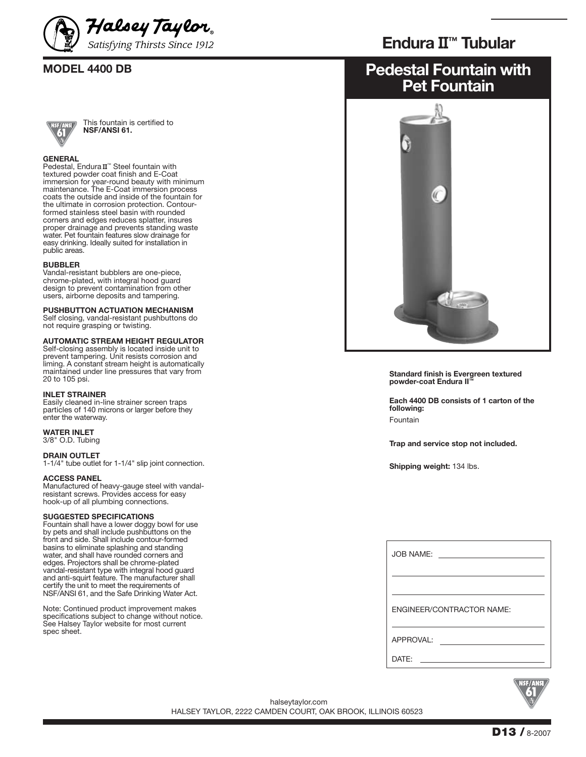



This fountain is certified to **NSF/ANSI 61.**

#### **GENERAL**

Pedestal, Endura II<sup>™</sup> Steel fountain with textured powder coat finish and E-Coat immersion for year-round beauty with minimum maintenance. The E-Coat immersion process coats the outside and inside of the fountain for the ultimate in corrosion protection. Contourformed stainless steel basin with rounded corners and edges reduces splatter, insures proper drainage and prevents standing waste water. Pet fountain features slow drainage for easy drinking. Ideally suited for installation in public areas.

#### **BUBBLER**

Vandal-resistant bubblers are one-piece, chrome-plated, with integral hood guard design to prevent contamination from other users, airborne deposits and tampering.

#### **PUSHBUTTON ACTUATION MECHANISM**

Self closing, vandal-resistant pushbuttons do not require grasping or twisting.

#### **AUTOMATIC STREAM HEIGHT REGULATOR**

Self-closing assembly is located inside unit to prevent tampering. Unit resists corrosion and liming. A constant stream height is automatically maintained under line pressures that vary from 20 to 105 psi.

#### **INLET STRAINER**

Easily cleaned in-line strainer screen traps particles of 140 microns or larger before they enter the waterway.

### **WATER INLET**

3/8" O.D. Tubing

#### **DRAIN OUTLET**

1-1/4" tube outlet for 1-1/4" slip joint connection.

#### **ACCESS PANEL**

Manufactured of heavy-gauge steel with vandalresistant screws. Provides access for easy hook-up of all plumbing connections.

#### **SUGGESTED SPECIFICATIONS**

Fountain shall have a lower doggy bowl for use by pets and shall include pushbuttons on the front and side. Shall include contour-formed basins to eliminate splashing and standing water, and shall have rounded corners and edges. Projectors shall be chrome-plated vandal-resistant type with integral hood guard and anti-squirt feature. The manufacturer shall certify the unit to meet the requirements of NSF/ANSI 61, and the Safe Drinking Water Act.

Note: Continued product improvement makes specifications subject to change without notice. See Halsey Taylor website for most current spec sheet.

## **Endura** II**™ Tubular**

# **MODEL 4400 DB Pedestal Fountain with Pet Fountain**



**Standard finish is Evergreen textured powder-coat Endura II™**

**Each 4400 DB consists of 1 carton of the following:** Fountain

**Trap and service stop not included.**

**Shipping weight:** 134 lbs.

| <b>JOB NAME:</b><br><u> 1989 - Andrea Station Books, amerikansk politik (</u> |
|-------------------------------------------------------------------------------|
|                                                                               |
| <b>FNGINFFR/CONTRACTOR NAME:</b>                                              |
| APPROVAL:                                                                     |
| DATF:                                                                         |



HALSEY TAYLOR, 2222 CAMDEN COURT, OAK BROOK, ILLINOIS 60523 halseytaylor.com